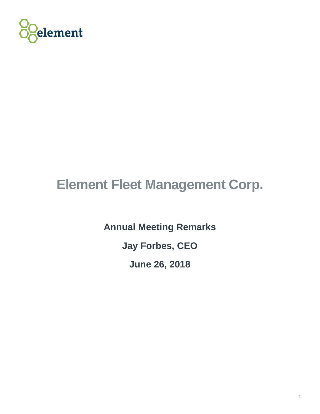

## **Element Fleet Management Corp.**

**Annual Meeting Remarks Jay Forbes, CEO June 26, 2018**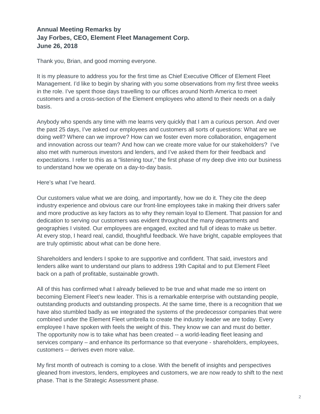## **Annual Meeting Remarks by Jay Forbes, CEO, Element Fleet Management Corp. June 26, 2018**

Thank you, Brian, and good morning everyone.

It is my pleasure to address you for the first time as Chief Executive Officer of Element Fleet Management. I'd like to begin by sharing with you some observations from my first three weeks in the role. I've spent those days travelling to our offices around North America to meet customers and a cross-section of the Element employees who attend to their needs on a daily basis.

Anybody who spends any time with me learns very quickly that I am a curious person. And over the past 25 days, I've asked our employees and customers all sorts of questions: What are we doing well? Where can we improve? How can we foster even more collaboration, engagement and innovation across our team? And how can we create more value for our stakeholders? I've also met with numerous investors and lenders, and I've asked them for their feedback and expectations. I refer to this as a "listening tour," the first phase of my deep dive into our business to understand how we operate on a day-to-day basis.

## Here's what I've heard.

Our customers value what we are doing, and importantly, how we do it. They cite the deep industry experience and obvious care our front-line employees take in making their drivers safer and more productive as key factors as to why they remain loyal to Element. That passion for and dedication to serving our customers was evident throughout the many departments and geographies I visited. Our employees are engaged, excited and full of ideas to make us better. At every stop, I heard real, candid, thoughtful feedback. We have bright, capable employees that are truly optimistic about what can be done here.

Shareholders and lenders I spoke to are supportive and confident. That said, investors and lenders alike want to understand our plans to address 19th Capital and to put Element Fleet back on a path of profitable, sustainable growth.

All of this has confirmed what I already believed to be true and what made me so intent on becoming Element Fleet's new leader. This is a remarkable enterprise with outstanding people, outstanding products and outstanding prospects. At the same time, there is a recognition that we have also stumbled badly as we integrated the systems of the predecessor companies that were combined under the Element Fleet umbrella to create the industry leader we are today. Every employee I have spoken with feels the weight of this. They know we can and must do better. The opportunity now is to take what has been created -- a world-leading fleet leasing and services company – and enhance its performance so that everyone - shareholders, employees, customers -- derives even more value.

My first month of outreach is coming to a close. With the benefit of insights and perspectives gleaned from investors, lenders, employees and customers, we are now ready to shift to the next phase. That is the Strategic Assessment phase.